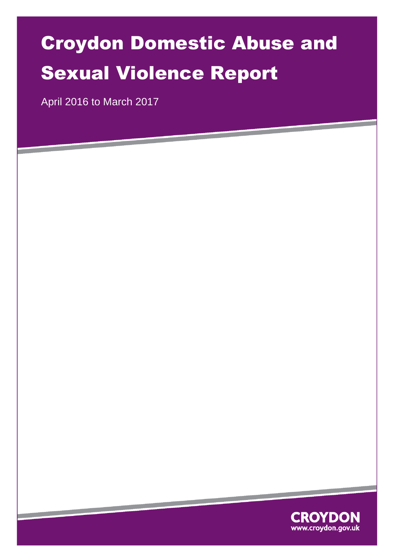# Croydon Domestic Abuse and Sexual Violence Report

April 2016 to March 2017

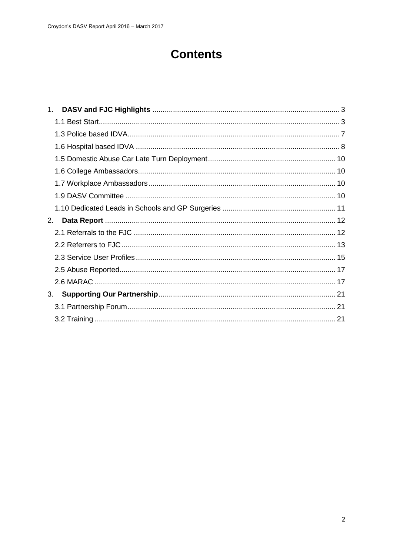# **Contents**

| $1_{-}$ |  |
|---------|--|
|         |  |
|         |  |
|         |  |
|         |  |
|         |  |
|         |  |
|         |  |
|         |  |
| 2.      |  |
|         |  |
|         |  |
|         |  |
|         |  |
|         |  |
| 3.      |  |
|         |  |
|         |  |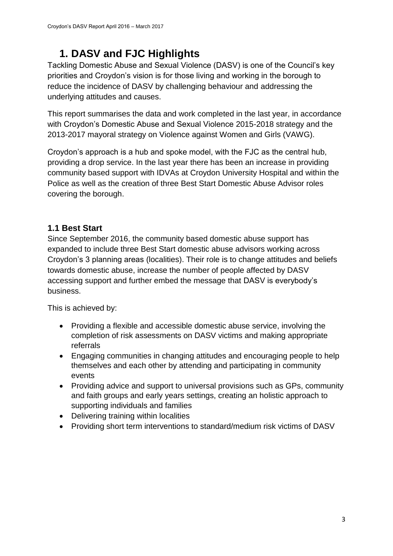# **1. DASV and FJC Highlights**

<span id="page-2-0"></span>Tackling Domestic Abuse and Sexual Violence (DASV) is one of the Council's key priorities and Croydon's vision is for those living and working in the borough to reduce the incidence of DASV by challenging behaviour and addressing the underlying attitudes and causes.

This report summarises the data and work completed in the last year, in accordance with Croydon's Domestic Abuse and Sexual Violence 2015-2018 strategy and the 2013-2017 mayoral strategy on Violence against Women and Girls (VAWG).

Croydon's approach is a hub and spoke model, with the FJC as the central hub, providing a drop service. In the last year there has been an increase in providing community based support with IDVAs at Croydon University Hospital and within the Police as well as the creation of three Best Start Domestic Abuse Advisor roles covering the borough.

#### <span id="page-2-1"></span>**1.1 Best Start**

Since September 2016, the community based domestic abuse support has expanded to include three Best Start domestic abuse advisors working across Croydon's 3 planning areas (localities). Their role is to change attitudes and beliefs towards domestic abuse, increase the number of people affected by DASV accessing support and further embed the message that DASV is everybody's business.

This is achieved by:

- Providing a flexible and accessible domestic abuse service, involving the completion of risk assessments on DASV victims and making appropriate referrals
- Engaging communities in changing attitudes and encouraging people to help themselves and each other by attending and participating in community events
- Providing advice and support to universal provisions such as GPs, community and faith groups and early years settings, creating an holistic approach to supporting individuals and families
- Delivering training within localities
- Providing short term interventions to standard/medium risk victims of DASV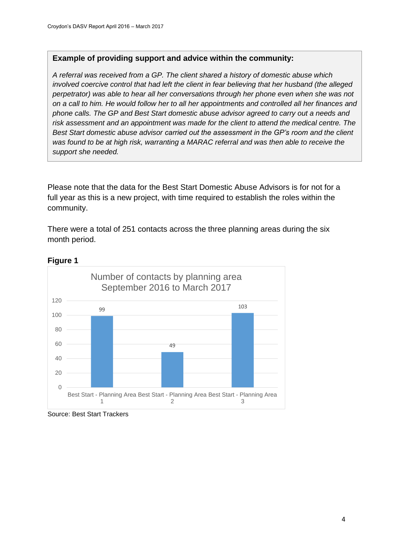#### **Example of providing support and advice within the community:**

*A referral was received from a GP. The client shared a history of domestic abuse which involved coercive control that had left the client in fear believing that her husband (the alleged perpetrator) was able to hear all her conversations through her phone even when she was not on a call to him. He would follow her to all her appointments and controlled all her finances and phone calls. The GP and Best Start domestic abuse advisor agreed to carry out a needs and risk assessment and an appointment was made for the client to attend the medical centre. The Best Start domestic abuse advisor carried out the assessment in the GP's room and the client was found to be at high risk, warranting a MARAC referral and was then able to receive the support she needed.*

Please note that the data for the Best Start Domestic Abuse Advisors is for not for a full year as this is a new project, with time required to establish the roles within the community.

There were a total of 251 contacts across the three planning areas during the six month period.



#### **Figure 1**

Source: Best Start Trackers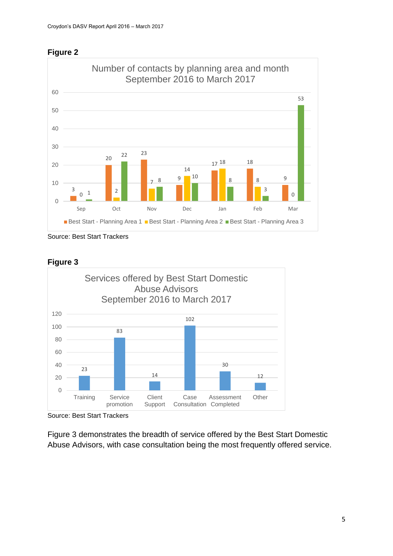



Source: Best Start Trackers





Source: Best Start Trackers

Figure 3 demonstrates the breadth of service offered by the Best Start Domestic Abuse Advisors, with case consultation being the most frequently offered service.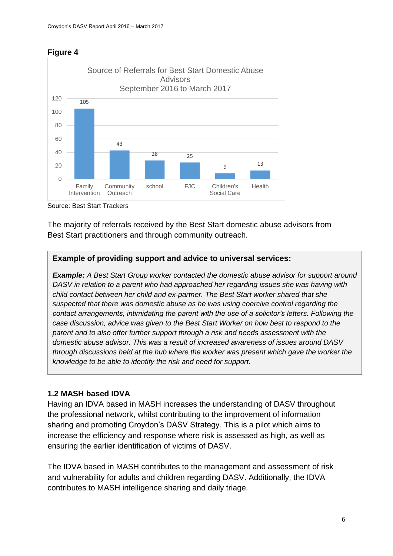#### **Figure 4**



Source: Best Start Trackers

The majority of referrals received by the Best Start domestic abuse advisors from Best Start practitioners and through community outreach.

#### **Example of providing support and advice to universal services:**

*Example: A Best Start Group worker contacted the domestic abuse advisor for support around DASV in relation to a parent who had approached her regarding issues she was having with child contact between her child and ex-partner. The Best Start worker shared that she suspected that there was domestic abuse as he was using coercive control regarding the contact arrangements, intimidating the parent with the use of a solicitor's letters. Following the case discussion, advice was given to the Best Start Worker on how best to respond to the parent and to also offer further support through a risk and needs assessment with the domestic abuse advisor. This was a result of increased awareness of issues around DASV through discussions held at the hub where the worker was present which gave the worker the knowledge to be able to identify the risk and need for support.* 

#### **1.2 MASH based IDVA**

Having an IDVA based in MASH increases the understanding of DASV throughout the professional network, whilst contributing to the improvement of information sharing and promoting Croydon's DASV Strategy. This is a pilot which aims to increase the efficiency and response where risk is assessed as high, as well as ensuring the earlier identification of victims of DASV.

The IDVA based in MASH contributes to the management and assessment of risk and vulnerability for adults and children regarding DASV. Additionally, the IDVA contributes to MASH intelligence sharing and daily triage.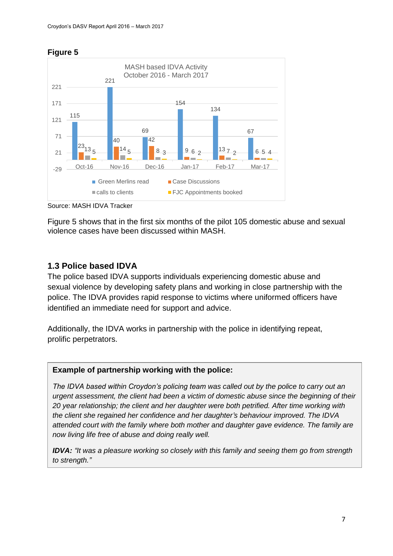

**Figure 5**

Source: MASH IDVA Tracker

Figure 5 shows that in the first six months of the pilot 105 domestic abuse and sexual violence cases have been discussed within MASH.

#### <span id="page-6-0"></span>**1.3 Police based IDVA**

The police based IDVA supports individuals experiencing domestic abuse and sexual violence by developing safety plans and working in close partnership with the police. The IDVA provides rapid response to victims where uniformed officers have identified an immediate need for support and advice.

Additionally, the IDVA works in partnership with the police in identifying repeat, prolific perpetrators.

#### **Example of partnership working with the police:**

*The IDVA based within Croydon's policing team was called out by the police to carry out an urgent assessment, the client had been a victim of domestic abuse since the beginning of their 20 year relationship; the client and her daughter were both petrified. After time working with the client she regained her confidence and her daughter's behaviour improved. The IDVA attended court with the family where both mother and daughter gave evidence. The family are now living life free of abuse and doing really well.* 

*IDVA: "It was a pleasure working so closely with this family and seeing them go from strength to strength."*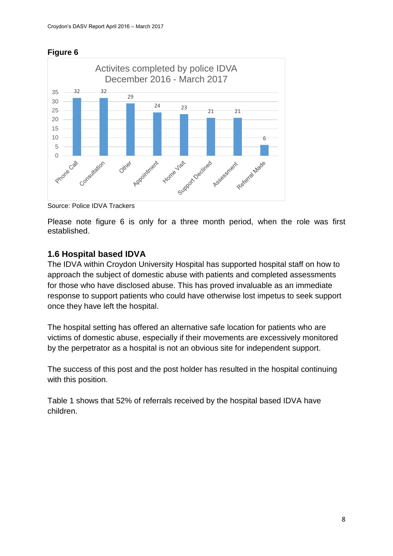



Source: Police IDVA Trackers

Please note figure 6 is only for a three month period, when the role was first established.

#### <span id="page-7-0"></span>**1.6 Hospital based IDVA**

The IDVA within Croydon University Hospital has supported hospital staff on how to approach the subject of domestic abuse with patients and completed assessments for those who have disclosed abuse. This has proved invaluable as an immediate response to support patients who could have otherwise lost impetus to seek support once they have left the hospital.

The hospital setting has offered an alternative safe location for patients who are victims of domestic abuse, especially if their movements are excessively monitored by the perpetrator as a hospital is not an obvious site for independent support.

The success of this post and the post holder has resulted in the hospital continuing with this position.

Table 1 shows that 52% of referrals received by the hospital based IDVA have children.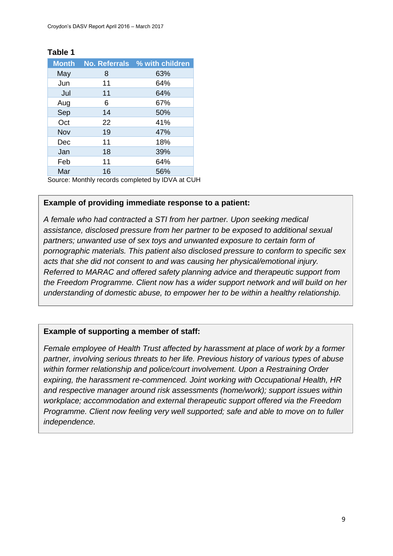| <b>Month</b> | <b>No. Referrals</b> | % with children |
|--------------|----------------------|-----------------|
| May          | 8                    | 63%             |
| Jun          | 11                   | 64%             |
| Jul          | 11                   | 64%             |
| Aug          | 6                    | 67%             |
| Sep          | 14                   | 50%             |
| Oct          | 22                   | 41%             |
| Nov          | 19                   | 47%             |
| Dec          | 11                   | 18%             |
| Jan          | 18                   | 39%             |
| Feb          | 11                   | 64%             |
| Mar          | 16                   | 56%             |

#### **Table 1**

Source: Monthly records completed by IDVA at CUH

#### **Example of providing immediate response to a patient:**

*A female who had contracted a STI from her partner. Upon seeking medical assistance, disclosed pressure from her partner to be exposed to additional sexual partners; unwanted use of sex toys and unwanted exposure to certain form of pornographic materials. This patient also disclosed pressure to conform to specific sex acts that she did not consent to and was causing her physical/emotional injury. Referred to MARAC and offered safety planning advice and therapeutic support from the Freedom Programme. Client now has a wider support network and will build on her understanding of domestic abuse, to empower her to be within a healthy relationship.*

#### **Example of supporting a member of staff:**

*Female employee of Health Trust affected by harassment at place of work by a former partner, involving serious threats to her life. Previous history of various types of abuse within former relationship and police/court involvement. Upon a Restraining Order expiring, the harassment re-commenced. Joint working with Occupational Health, HR and respective manager around risk assessments (home/work); support issues within workplace; accommodation and external therapeutic support offered via the Freedom Programme. Client now feeling very well supported; safe and able to move on to fuller independence.*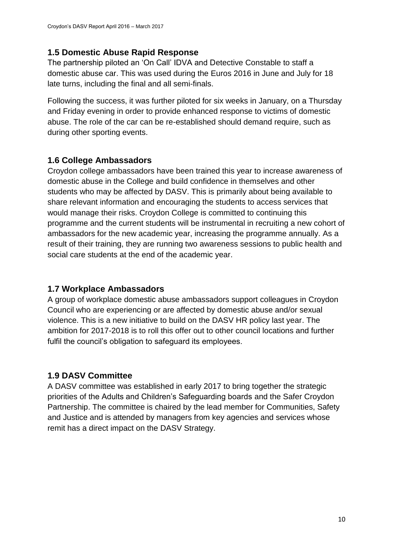#### <span id="page-9-0"></span>**1.5 Domestic Abuse Rapid Response**

The partnership piloted an 'On Call' IDVA and Detective Constable to staff a domestic abuse car. This was used during the Euros 2016 in June and July for 18 late turns, including the final and all semi-finals.

Following the success, it was further piloted for six weeks in January, on a Thursday and Friday evening in order to provide enhanced response to victims of domestic abuse. The role of the car can be re-established should demand require, such as during other sporting events.

#### <span id="page-9-1"></span>**1.6 College Ambassadors**

Croydon college ambassadors have been trained this year to increase awareness of domestic abuse in the College and build confidence in themselves and other students who may be affected by DASV. This is primarily about being available to share relevant information and encouraging the students to access services that would manage their risks. Croydon College is committed to continuing this programme and the current students will be instrumental in recruiting a new cohort of ambassadors for the new academic year, increasing the programme annually. As a result of their training, they are running two awareness sessions to public health and social care students at the end of the academic year.

#### <span id="page-9-2"></span>**1.7 Workplace Ambassadors**

A group of workplace domestic abuse ambassadors support colleagues in Croydon Council who are experiencing or are affected by domestic abuse and/or sexual violence. This is a new initiative to build on the DASV HR policy last year. The ambition for 2017-2018 is to roll this offer out to other council locations and further fulfil the council's obligation to safeguard its employees.

#### <span id="page-9-3"></span>**1.9 DASV Committee**

A DASV committee was established in early 2017 to bring together the strategic priorities of the Adults and Children's Safeguarding boards and the Safer Croydon Partnership. The committee is chaired by the lead member for Communities, Safety and Justice and is attended by managers from key agencies and services whose remit has a direct impact on the DASV Strategy.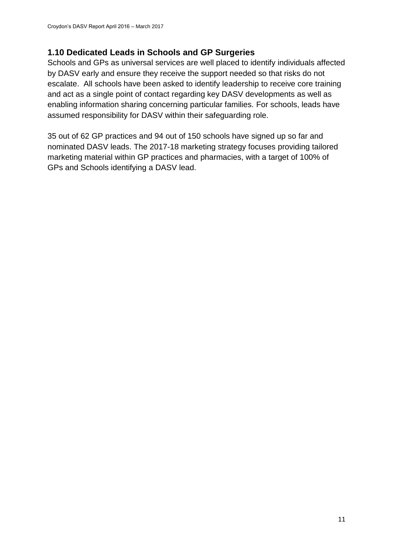#### <span id="page-10-0"></span>**1.10 Dedicated Leads in Schools and GP Surgeries**

Schools and GPs as universal services are well placed to identify individuals affected by DASV early and ensure they receive the support needed so that risks do not escalate. All schools have been asked to identify leadership to receive core training and act as a single point of contact regarding key DASV developments as well as enabling information sharing concerning particular families. For schools, leads have assumed responsibility for DASV within their safeguarding role.

35 out of 62 GP practices and 94 out of 150 schools have signed up so far and nominated DASV leads. The 2017-18 marketing strategy focuses providing tailored marketing material within GP practices and pharmacies, with a target of 100% of GPs and Schools identifying a DASV lead.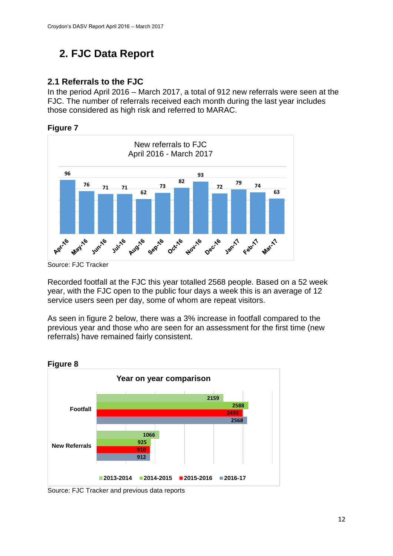# <span id="page-11-0"></span>**2. FJC Data Report**

#### <span id="page-11-1"></span>**2.1 Referrals to the FJC**

In the period April 2016 – March 2017, a total of 912 new referrals were seen at the FJC. The number of referrals received each month during the last year includes those considered as high risk and referred to MARAC.

#### **Figure 7**



Source: FJC Tracker

Recorded footfall at the FJC this year totalled 2568 people. Based on a 52 week year, with the FJC open to the public four days a week this is an average of 12 service users seen per day, some of whom are repeat visitors.

As seen in figure 2 below, there was a 3% increase in footfall compared to the previous year and those who are seen for an assessment for the first time (new referrals) have remained fairly consistent.



Source: FJC Tracker and previous data reports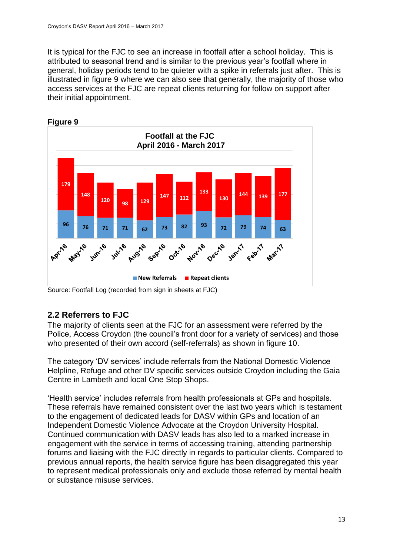It is typical for the FJC to see an increase in footfall after a school holiday. This is attributed to seasonal trend and is similar to the previous year's footfall where in general, holiday periods tend to be quieter with a spike in referrals just after. This is illustrated in figure 9 where we can also see that generally, the majority of those who access services at the FJC are repeat clients returning for follow on support after their initial appointment.



Source: Footfall Log (recorded from sign in sheets at FJC)

#### <span id="page-12-0"></span>**2.2 Referrers to FJC**

The majority of clients seen at the FJC for an assessment were referred by the Police, Access Croydon (the council's front door for a variety of services) and those who presented of their own accord (self-referrals) as shown in figure 10.

The category 'DV services' include referrals from the National Domestic Violence Helpline, Refuge and other DV specific services outside Croydon including the Gaia Centre in Lambeth and local One Stop Shops.

'Health service' includes referrals from health professionals at GPs and hospitals. These referrals have remained consistent over the last two years which is testament to the engagement of dedicated leads for DASV within GPs and location of an Independent Domestic Violence Advocate at the Croydon University Hospital. Continued communication with DASV leads has also led to a marked increase in engagement with the service in terms of accessing training, attending partnership forums and liaising with the FJC directly in regards to particular clients. Compared to previous annual reports, the health service figure has been disaggregated this year to represent medical professionals only and exclude those referred by mental health or substance misuse services.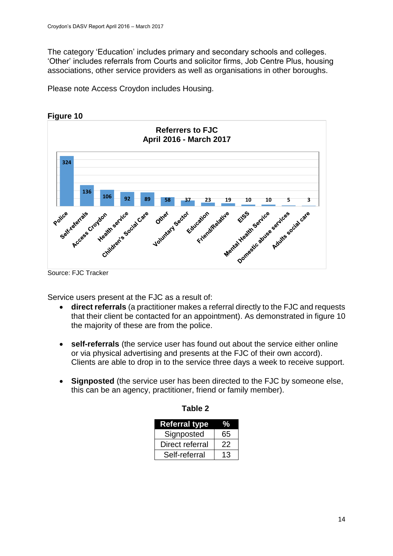The category 'Education' includes primary and secondary schools and colleges. 'Other' includes referrals from Courts and solicitor firms, Job Centre Plus, housing associations, other service providers as well as organisations in other boroughs.

Please note Access Croydon includes Housing.



**Figure 10**



Service users present at the FJC as a result of:

- **direct referrals** (a practitioner makes a referral directly to the FJC and requests that their client be contacted for an appointment). As demonstrated in figure 10 the majority of these are from the police.
- **self-referrals** (the service user has found out about the service either online or via physical advertising and presents at the FJC of their own accord). Clients are able to drop in to the service three days a week to receive support.
- **Signposted** (the service user has been directed to the FJC by someone else, this can be an agency, practitioner, friend or family member).

| <b>Referral type</b> |    |
|----------------------|----|
| Signposted           | 65 |
| Direct referral      | 22 |
| Self-referral        | 13 |

| Table 2 |  |
|---------|--|
|---------|--|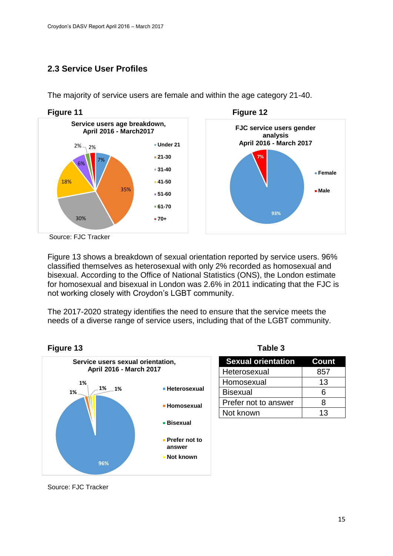#### <span id="page-14-0"></span>**2.3 Service User Profiles**



The majority of service users are female and within the age category 21-40.

Source: FJC Tracker

Figure 13 shows a breakdown of sexual orientation reported by service users. 96% classified themselves as heterosexual with only 2% recorded as homosexual and bisexual. According to the Office of National Statistics (ONS), the London estimate for homosexual and bisexual in London was 2.6% in 2011 indicating that the FJC is not working closely with Croydon's LGBT community.

The 2017-2020 strategy identifies the need to ensure that the service meets the needs of a diverse range of service users, including that of the LGBT community.



|  | abl | Ίι<br>σ |  |
|--|-----|---------|--|
|  |     |         |  |

| <b>Sexual orientation</b> | Count |
|---------------------------|-------|
| Heterosexual              | 857   |
| Homosexual                | 13    |
| <b>Bisexual</b>           | հ     |
| Prefer not to answer      | R     |
| Not known                 | 13    |

Source: FJC Tracker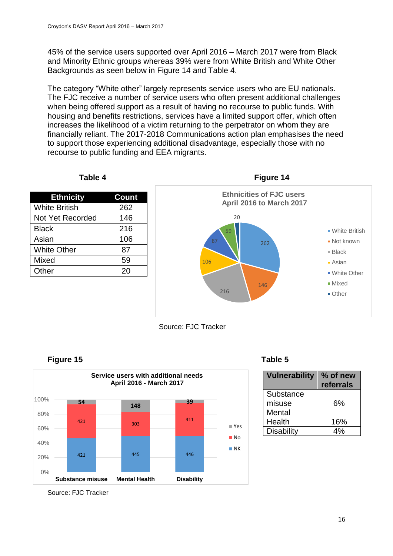45% of the service users supported over April 2016 – March 2017 were from Black and Minority Ethnic groups whereas 39% were from White British and White Other Backgrounds as seen below in Figure 14 and Table 4.

The category "White other" largely represents service users who are EU nationals. The FJC receive a number of service users who often present additional challenges when being offered support as a result of having no recourse to public funds. With housing and benefits restrictions, services have a limited support offer, which often increases the likelihood of a victim returning to the perpetrator on whom they are financially reliant. The 2017-2018 Communications action plan emphasises the need to support those experiencing additional disadvantage, especially those with no recourse to public funding and EEA migrants.



 **Table 4 Figure 14**









| <b>Vulnerability</b> | % of new<br>referrals |
|----------------------|-----------------------|
| Substance            |                       |
| misuse               | 6%                    |
| Mental               |                       |
| Health               | 16%                   |
| <b>Disability</b>    | 4%                    |

Source: FJC Tracker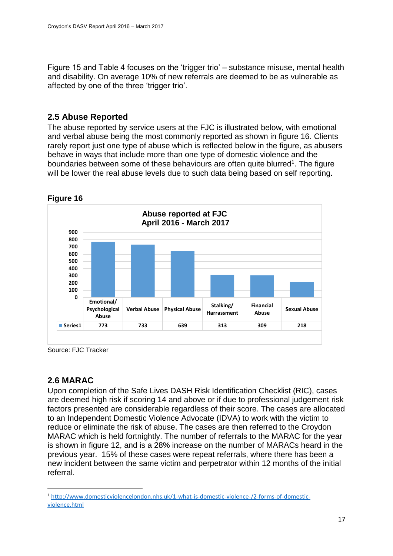Figure 15 and Table 4 focuses on the 'trigger trio' – substance misuse, mental health and disability. On average 10% of new referrals are deemed to be as vulnerable as affected by one of the three 'trigger trio'.

#### <span id="page-16-0"></span>**2.5 Abuse Reported**

The abuse reported by service users at the FJC is illustrated below, with emotional and verbal abuse being the most commonly reported as shown in figure 16. Clients rarely report just one type of abuse which is reflected below in the figure, as abusers behave in ways that include more than one type of domestic violence and the boundaries between some of these behaviours are often quite blurred<sup>1</sup>. The figure will be lower the real abuse levels due to such data being based on self reporting.



**Figure 16**

Source: FJC Tracker

#### <span id="page-16-1"></span>**2.6 MARAC**

1

Upon completion of the Safe Lives DASH Risk Identification Checklist (RIC), cases are deemed high risk if scoring 14 and above or if due to professional judgement risk factors presented are considerable regardless of their score. The cases are allocated to an Independent Domestic Violence Advocate (IDVA) to work with the victim to reduce or eliminate the risk of abuse. The cases are then referred to the Croydon MARAC which is held fortnightly. The number of referrals to the MARAC for the year is shown in figure 12, and is a 28% increase on the number of MARACs heard in the previous year. 15% of these cases were repeat referrals, where there has been a new incident between the same victim and perpetrator within 12 months of the initial referral.

<sup>1</sup> [http://www.domesticviolencelondon.nhs.uk/1-what-is-domestic-violence-/2-forms-of-domestic](http://www.domesticviolencelondon.nhs.uk/1-what-is-domestic-violence-/2-forms-of-domestic-violence.html)[violence.html](http://www.domesticviolencelondon.nhs.uk/1-what-is-domestic-violence-/2-forms-of-domestic-violence.html)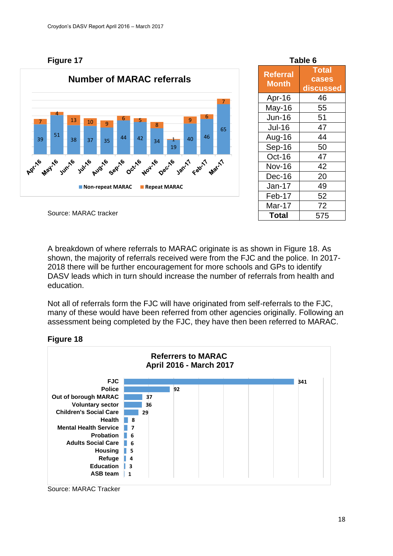**Figure 17** 



| Table 6                         |                                    |  |
|---------------------------------|------------------------------------|--|
| <b>Referral</b><br><b>Month</b> | <b>Total</b><br>cases<br>discussed |  |
| Apr-16                          | 46                                 |  |
| May-16                          | 55                                 |  |
| <b>Jun-16</b>                   | 51                                 |  |
| <b>Jul-16</b>                   | 47                                 |  |
| Aug-16                          | 44                                 |  |
| Sep-16                          | 50                                 |  |
| Oct-16                          | 47                                 |  |
| <b>Nov-16</b>                   | 42                                 |  |
| Dec-16                          | 20                                 |  |
| Jan-17                          | 49                                 |  |
| Feb-17                          | 52                                 |  |
| Mar-17                          | 72                                 |  |
| <b>Total</b>                    | 575                                |  |

A breakdown of where referrals to MARAC originate is as shown in Figure 18. As shown, the majority of referrals received were from the FJC and the police. In 2017- 2018 there will be further encouragement for more schools and GPs to identify DASV leads which in turn should increase the number of referrals from health and education.

Not all of referrals form the FJC will have originated from self-referrals to the FJC, many of these would have been referred from other agencies originally. Following an assessment being completed by the FJC, they have then been referred to MARAC.



#### **Figure 18**

Source: MARAC Tracker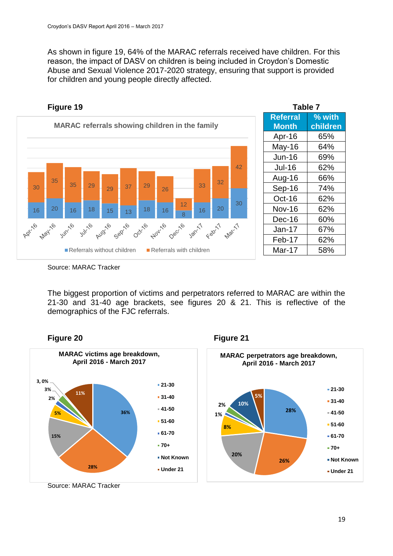As shown in figure 19, 64% of the MARAC referrals received have children. For this reason, the impact of DASV on children is being included in Croydon's Domestic Abuse and Sexual Violence 2017-2020 strategy, ensuring that support is provided for children and young people directly affected.



| rapie <i>r</i>  |          |  |
|-----------------|----------|--|
| <b>Referral</b> | % with   |  |
| <b>Month</b>    | children |  |
| Apr-16          | 65%      |  |
| May-16          | 64%      |  |
| <b>Jun-16</b>   | 69%      |  |
| <b>Jul-16</b>   | 62%      |  |
| Aug-16          | 66%      |  |
| Sep-16          | 74%      |  |
| Oct-16          | 62%      |  |
| <b>Nov-16</b>   | 62%      |  |
| Dec-16          | 60%      |  |
| $Jan-17$        | 67%      |  |
| Feb-17          | 62%      |  |
| Mar-17          | 58%      |  |
|                 |          |  |

Source: MARAC Tracker

The biggest proportion of victims and perpetrators referred to MARAC are within the 21-30 and 31-40 age brackets, see figures 20 & 21. This is reflective of the demographics of the FJC referrals.



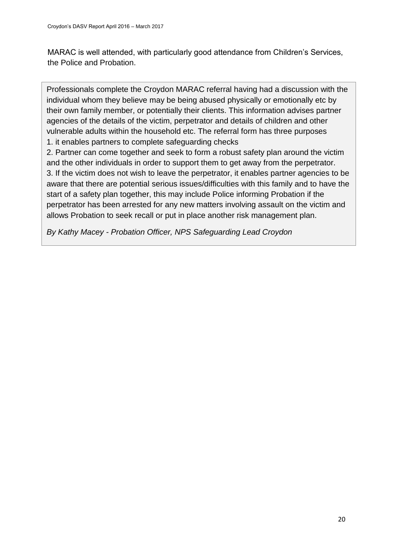MARAC is well attended, with particularly good attendance from Children's Services, the Police and Probation.

Professionals complete the Croydon MARAC referral having had a discussion with the individual whom they believe may be being abused physically or emotionally etc by their own family member, or potentially their clients. This information advises partner agencies of the details of the victim, perpetrator and details of children and other vulnerable adults within the household etc. The referral form has three purposes 1. it enables partners to complete safeguarding checks

2. Partner can come together and seek to form a robust safety plan around the victim and the other individuals in order to support them to get away from the perpetrator. 3. If the victim does not wish to leave the perpetrator, it enables partner agencies to be aware that there are potential serious issues/difficulties with this family and to have the start of a safety plan together, this may include Police informing Probation if the perpetrator has been arrested for any new matters involving assault on the victim and allows Probation to seek recall or put in place another risk management plan.

*By Kathy Macey - Probation Officer, NPS Safeguarding Lead Croydon*